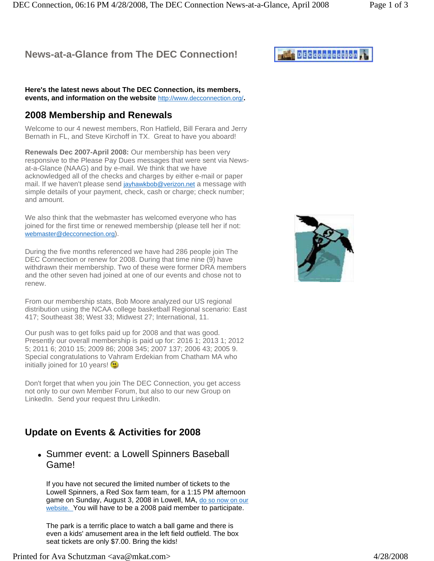## **News-at-a-Glance from The DEC Connection!**

**Here's the latest news about The DEC Connection, its members, events, and information on the website** http://www.decconnection.org/**.**

#### **2008 Membership and Renewals**

Welcome to our 4 newest members, Ron Hatfield, Bill Ferara and Jerry Bernath in FL, and Steve Kirchoff in TX. Great to have you aboard!

**Renewals Dec 2007-April 2008:** Our membership has been very responsive to the Please Pay Dues messages that were sent via Newsat-a-Glance (NAAG) and by e-mail. We think that we have acknowledged all of the checks and charges by either e-mail or paper mail. If we haven't please send jayhawkbob@verizon.net a message with simple details of your payment, check, cash or charge; check number; and amount.

We also think that the webmaster has welcomed everyone who has joined for the first time or renewed membership (please tell her if not: webmaster@decconnection.org).

During the five months referenced we have had 286 people join The DEC Connection or renew for 2008. During that time nine (9) have withdrawn their membership. Two of these were former DRA members and the other seven had joined at one of our events and chose not to renew.

From our membership stats, Bob Moore analyzed our US regional distribution using the NCAA college basketball Regional scenario: East 417; Southeast 38; West 33; Midwest 27; International, 11.

Our push was to get folks paid up for 2008 and that was good. Presently our overall membership is paid up for: 2016 1; 2013 1; 2012 5; 2011 6; 2010 15; 2009 86; 2008 345; 2007 137; 2006 43; 2005 9. Special congratulations to Vahram Erdekian from Chatham MA who initially joined for 10 years!

Don't forget that when you join The DEC Connection, you get access not only to our own Member Forum, but also to our new Group on LinkedIn. Send your request thru LinkedIn.

## **Update on Events & Activities for 2008**

#### • Summer event: a Lowell Spinners Baseball Game!

If you have not secured the limited number of tickets to the Lowell Spinners, a Red Sox farm team, for a 1:15 PM afternoon game on Sunday, August 3, 2008 in Lowell, MA, do so now on our website. You will have to be a 2008 paid member to participate.

The park is a terrific place to watch a ball game and there is even a kids' amusement area in the left field outfield. The box seat tickets are only \$7.00. Bring the kids!



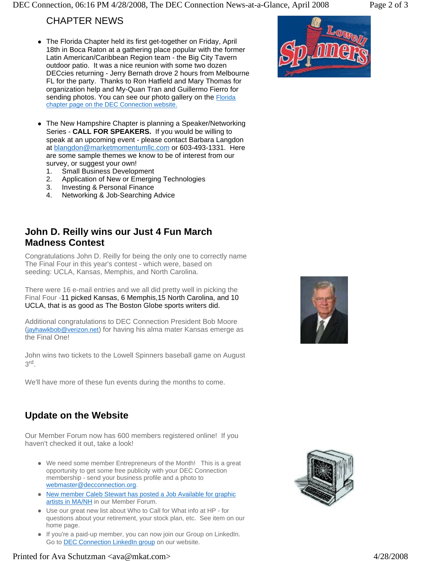### CHAPTER NEWS

- The Florida Chapter held its first get-together on Friday, April 18th in Boca Raton at a gathering place popular with the former Latin American/Caribbean Region team - the Big City Tavern outdoor patio. It was a nice reunion with some two dozen DECcies returning - Jerry Bernath drove 2 hours from Melbourne FL for the party. Thanks to Ron Hatfield and Mary Thomas for organization help and My-Quan Tran and Guillermo Fierro for sending photos. You can see our photo gallery on the Florida chapter page on the DEC Connection website.
- The New Hampshire Chapter is planning a Speaker/Networking Series - **CALL FOR SPEAKERS.** If you would be willing to speak at an upcoming event - please contact Barbara Langdon at blangdon@marketmomentumllc.com or 603-493-1331. Here are some sample themes we know to be of interest from our survey, or suggest your own!
	- 1. Small Business Development
	- 2. Application of New or Emerging Technologies
	- 3. Investing & Personal Finance
	- 4. Networking & Job-Searching Advice

#### **John D. Reilly wins our Just 4 Fun March Madness Contest**

Congratulations John D. Reilly for being the only one to correctly name The Final Four in this year's contest - which were, based on seeding: UCLA, Kansas, Memphis, and North Carolina.

There were 16 e-mail entries and we all did pretty well in picking the Final Four -11 picked Kansas, 6 Memphis,15 North Carolina, and 10 UCLA, that is as good as The Boston Globe sports writers did.

Additional congratulations to DEC Connection President Bob Moore (jayhawkbob@verizon.net) for having his alma mater Kansas emerge as the Final One!

John wins two tickets to the Lowell Spinners baseball game on August 3rd.

We'll have more of these fun events during the months to come.

## **Update on the Website**

Our Member Forum now has 600 members registered online! If you haven't checked it out, take a look!

- We need some member Entrepreneurs of the Month! This is a great opportunity to get some free publicity with your DEC Connection membership - send your business profile and a photo to webmaster@decconnection.org.
- New member Caleb Stewart has posted a Job Available for graphic artists in MA/NH in our Member Forum.
- Use our great new list about Who to Call for What info at HP for questions about your retirement, your stock plan, etc. See item on our home page.
- If you're a paid-up member, you can now join our Group on LinkedIn. Go to **DEC Connection LinkedIn group** on our website.